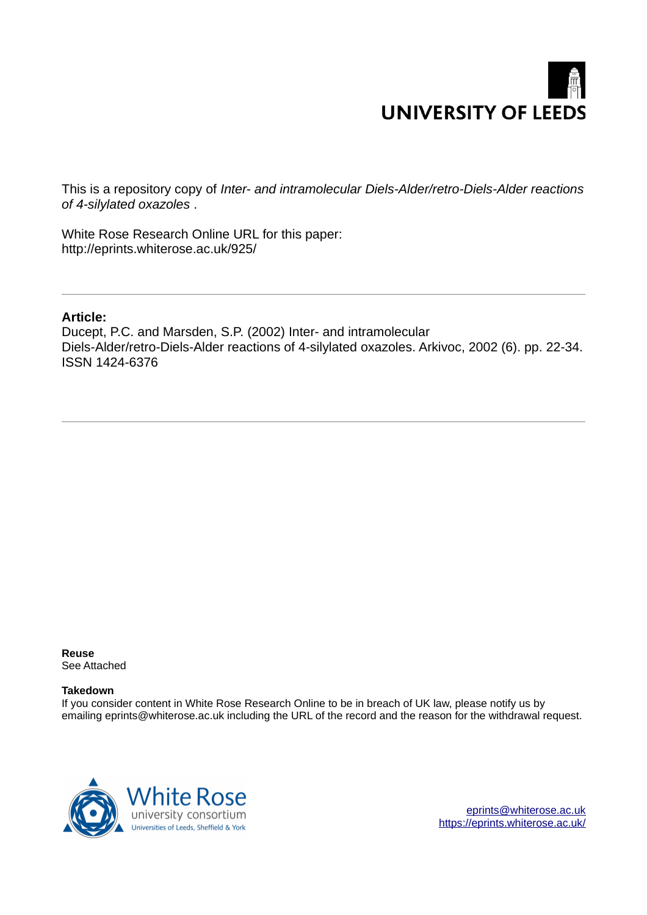# **UNIVERSITY OF LEEDS**

This is a repository copy of *Inter- and intramolecular Diels-Alder/retro-Diels-Alder reactions of 4-silylated oxazoles* .

White Rose Research Online URL for this paper: http://eprints.whiterose.ac.uk/925/

#### **Article:**

Ducept, P.C. and Marsden, S.P. (2002) Inter- and intramolecular Diels-Alder/retro-Diels-Alder reactions of 4-silylated oxazoles. Arkivoc, 2002 (6). pp. 22-34. ISSN 1424-6376

**Reuse**  See Attached

#### **Takedown**

If you consider content in White Rose Research Online to be in breach of UK law, please notify us by emailing eprints@whiterose.ac.uk including the URL of the record and the reason for the withdrawal request.



[eprints@whiterose.ac.uk](mailto:eprints@whiterose.ac.uk) <https://eprints.whiterose.ac.uk/>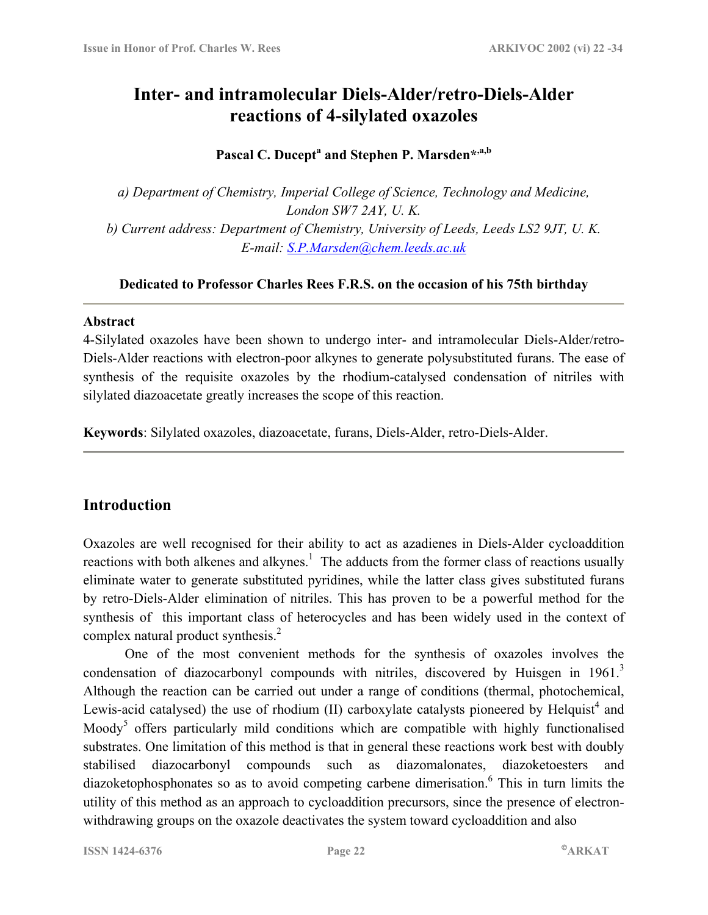## **Inter- and intramolecular Diels-Alder/retro-Diels-Alder reactions of 4-silylated oxazoles**

## **Pascal C. Ducept<sup>a</sup> and Stephen P. Marsden\*,a,b**

*a) Department of Chemistry, Imperial College of Science, Technology and Medicine, London SW7 2AY, U. K. b) Current address: Department of Chemistry, University of Leeds, Leeds LS2 9JT, U. K. E-mail: [S.P.Marsden@chem.leeds.ac.uk](mailto:S.P.Marsden@chem.leeds.ac.uk)* 

#### **Dedicated to Professor Charles Rees F.R.S. on the occasion of his 75th birthday**

#### **Abstract**

4-Silylated oxazoles have been shown to undergo inter- and intramolecular Diels-Alder/retro-Diels-Alder reactions with electron-poor alkynes to generate polysubstituted furans. The ease of synthesis of the requisite oxazoles by the rhodium-catalysed condensation of nitriles with silylated diazoacetate greatly increases the scope of this reaction.

**Keywords**: Silylated oxazoles, diazoacetate, furans, Diels-Alder, retro-Diels-Alder.

## **Introduction**

Oxazoles are well recognised for their ability to act as azadienes in Diels-Alder cycloaddition reactions with both alkenes and alkynes.<sup>1</sup> The adducts from the former class of reactions usually eliminate water to generate substituted pyridines, while the latter class gives substituted furans by retro-Diels-Alder elimination of nitriles. This has proven to be a powerful method for the synthesis of this important class of heterocycles and has been widely used in the context of complex natural product synthesis.<sup>2</sup>

One of the most convenient methods for the synthesis of oxazoles involves the condensation of diazocarbonyl compounds with nitriles, discovered by Huisgen in 1961.<sup>3</sup> Although the reaction can be carried out under a range of conditions (thermal, photochemical, Lewis-acid catalysed) the use of rhodium  $(II)$  carboxylate catalysts pioneered by Helquist<sup>4</sup> and Moody<sup>5</sup> offers particularly mild conditions which are compatible with highly functionalised substrates. One limitation of this method is that in general these reactions work best with doubly stabilised diazocarbonyl compounds such as diazomalonates, diazoketoesters and diazoketophosphonates so as to avoid competing carbene dimerisation. <sup>6</sup> This in turn limits the utility of this method as an approach to cycloaddition precursors, since the presence of electronwithdrawing groups on the oxazole deactivates the system toward cycloaddition and also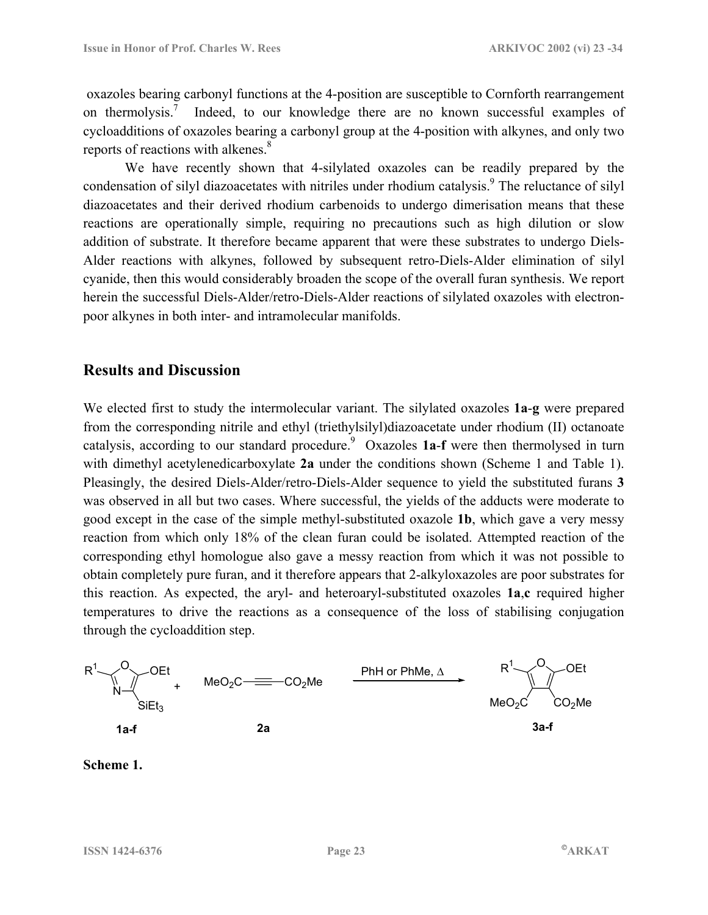oxazoles bearing carbonyl functions at the 4-position are susceptible to Cornforth rearrangement on thermolysis.<sup>7</sup> Indeed, to our knowledge there are no known successful examples of cycloadditions of oxazoles bearing a carbonyl group at the 4-position with alkynes, and only two reports of reactions with alkenes.<sup>8</sup>

We have recently shown that 4-silylated oxazoles can be readily prepared by the condensation of silyl diazoacetates with nitriles under rhodium catalysis.<sup>9</sup> The reluctance of silyl diazoacetates and their derived rhodium carbenoids to undergo dimerisation means that these reactions are operationally simple, requiring no precautions such as high dilution or slow addition of substrate. It therefore became apparent that were these substrates to undergo Diels-Alder reactions with alkynes, followed by subsequent retro-Diels-Alder elimination of silyl cyanide, then this would considerably broaden the scope of the overall furan synthesis. We report herein the successful Diels-Alder/retro-Diels-Alder reactions of silylated oxazoles with electronpoor alkynes in both inter- and intramolecular manifolds.

## **Results and Discussion**

We elected first to study the intermolecular variant. The silylated oxazoles **1a**-**g** were prepared from the corresponding nitrile and ethyl (triethylsilyl)diazoacetate under rhodium (II) octanoate catalysis, according to our standard procedure.<sup>9</sup> Oxazoles 1a-f were then thermolysed in turn with dimethyl acetylenedicarboxylate **2a** under the conditions shown (Scheme 1 and Table 1). Pleasingly, the desired Diels-Alder/retro-Diels-Alder sequence to yield the substituted furans **3** was observed in all but two cases. Where successful, the yields of the adducts were moderate to good except in the case of the simple methyl-substituted oxazole **1b**, which gave a very messy reaction from which only 18% of the clean furan could be isolated. Attempted reaction of the corresponding ethyl homologue also gave a messy reaction from which it was not possible to obtain completely pure furan, and it therefore appears that 2-alkyloxazoles are poor substrates for this reaction. As expected, the aryl- and heteroaryl-substituted oxazoles **1a**,**c** required higher temperatures to drive the reactions as a consequence of the loss of stabilising conjugation through the cycloaddition step.



#### **Scheme 1.**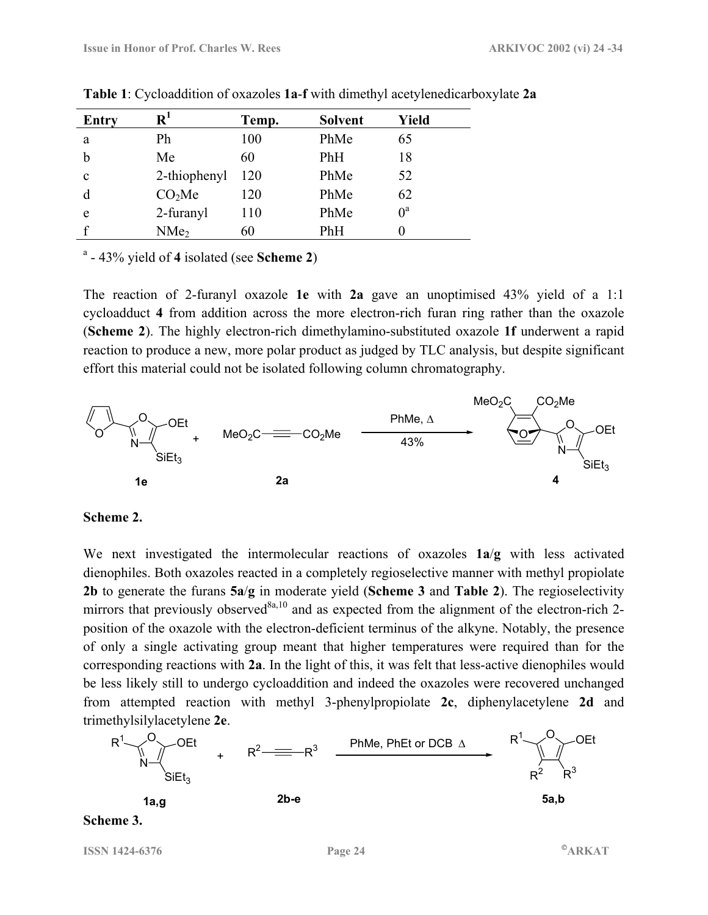| <b>Entry</b> | $\mathbf{R}^1$     | Temp. | <b>Solvent</b> | Yield |
|--------------|--------------------|-------|----------------|-------|
| a            | Ph                 | 100   | PhMe           | 65    |
| b            | Me                 | 60    | PhH            | 18    |
| c            | 2-thiophenyl       | 120   | PhMe           | 52    |
|              | CO <sub>2</sub> Me | 120   | PhMe           | 62    |
| e            | 2-furanyl          | 110   | PhMe           | $0^a$ |
|              | NMe <sub>2</sub>   | 60    | PhH            |       |

**Table 1**: Cycloaddition of oxazoles **1a**-**f** with dimethyl acetylenedicarboxylate **2a**

a - 43% yield of **4** isolated (see **Scheme 2**)

The reaction of 2-furanyl oxazole **1e** with **2a** gave an unoptimised 43% yield of a 1:1 cycloadduct **4** from addition across the more electron-rich furan ring rather than the oxazole (**Scheme 2**). The highly electron-rich dimethylamino-substituted oxazole **1f** underwent a rapid reaction to produce a new, more polar product as judged by TLC analysis, but despite significant effort this material could not be isolated following column chromatography.



#### **Scheme 2.**

We next investigated the intermolecular reactions of oxazoles **1a**/**g** with less activated dienophiles. Both oxazoles reacted in a completely regioselective manner with methyl propiolate **2b** to generate the furans **5a**/**g** in moderate yield (**Scheme 3** and **Table 2**). The regioselectivity mirrors that previously observed<sup>8a,10</sup> and as expected from the alignment of the electron-rich 2position of the oxazole with the electron-deficient terminus of the alkyne. Notably, the presence of only a single activating group meant that higher temperatures were required than for the corresponding reactions with **2a**. In the light of this, it was felt that less-active dienophiles would be less likely still to undergo cycloaddition and indeed the oxazoles were recovered unchanged from attempted reaction with methyl 3-phenylpropiolate **2c**, diphenylacetylene **2d** and trimethylsilylacetylene **2e**.



**Scheme 3.** 

**ISSN 1424-6376** Page 24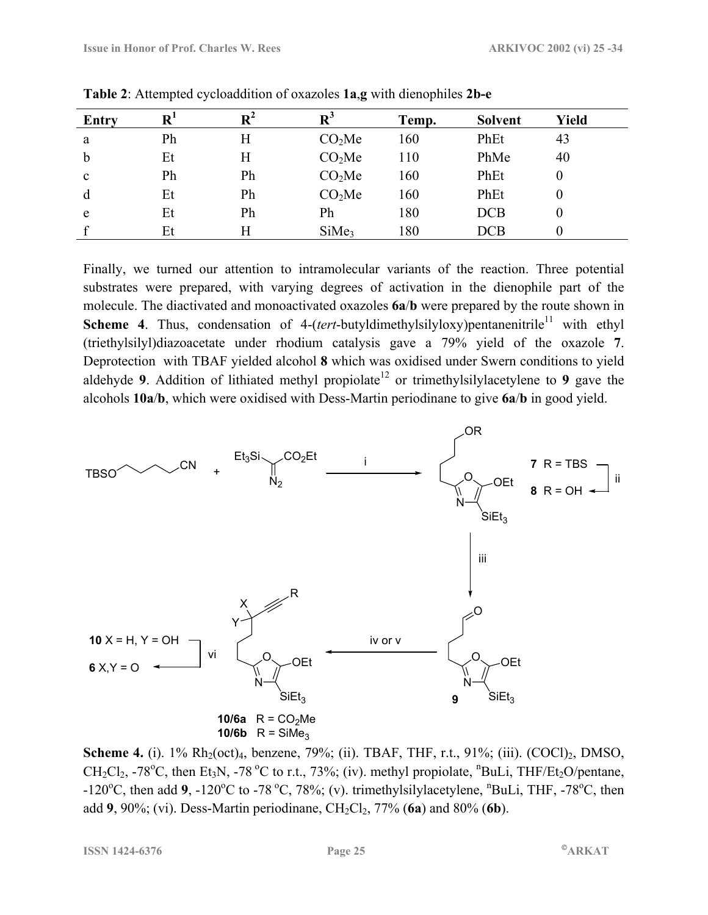| Entry        | $\overline{\mathbf{R}}$ | $\mathbf{R}^2$ | $\mathbf{R}^3$     | Temp. | <b>Solvent</b> | <b>Yield</b> |
|--------------|-------------------------|----------------|--------------------|-------|----------------|--------------|
| a            | Ph                      | Η              | CO <sub>2</sub> Me | 160   | PhEt           | 43           |
| $\mathbf b$  | Et                      | H              | CO <sub>2</sub> Me | 110   | PhMe           | 40           |
| $\mathbf{c}$ | Ph                      | Ph             | CO <sub>2</sub> Me | 160   | PhEt           | 0            |
| d            | Et                      | Ph             | CO <sub>2</sub> Me | 160   | PhEt           | 0            |
| e            | Et                      | Ph             | Ph                 | 180   | <b>DCB</b>     | 0            |
|              | Et                      | Η              | SiMe <sub>3</sub>  | 180   | <b>DCB</b>     |              |

**Table 2**: Attempted cycloaddition of oxazoles **1a**,**g** with dienophiles **2b-e**

Finally, we turned our attention to intramolecular variants of the reaction. Three potential substrates were prepared, with varying degrees of activation in the dienophile part of the molecule. The diactivated and monoactivated oxazoles **6a**/**b** were prepared by the route shown in **Scheme 4**. Thus, condensation of 4-(*tert*-butyldimethylsilyloxy)pentanenitrile<sup>11</sup> with ethyl (triethylsilyl)diazoacetate under rhodium catalysis gave a 79% yield of the oxazole **7**. Deprotection with TBAF yielded alcohol **8** which was oxidised under Swern conditions to yield aldehyde **9**. Addition of lithiated methyl propiolate<sup>12</sup> or trimethylsilylacetylene to **9** gave the alcohols **10a**/**b**, which were oxidised with Dess-Martin periodinane to give **6a**/**b** in good yield.



**Scheme 4.** (i). 1% Rh<sub>2</sub>(oct)<sub>4</sub>, benzene, 79%; (ii). TBAF, THF, r.t., 91%; (iii). (COCl)<sub>2</sub>, DMSO,  $CH_2Cl_2$ , -78<sup>o</sup>C, then Et<sub>3</sub>N, -78<sup>o</sup>C to r.t., 73%; (iv). methyl propiolate, <sup>n</sup>BuLi, THF/Et<sub>2</sub>O/pentane,  $-120^{\circ}$ C, then add **9**,  $-120^{\circ}$ C to  $-78^{\circ}$ C, 78%; (v). trimethylsilylacetylene, <sup>n</sup>BuLi, THF,  $-78^{\circ}$ C, then add 9, 90%; (vi). Dess-Martin periodinane, CH<sub>2</sub>Cl<sub>2</sub>, 77% (6a) and 80% (6b).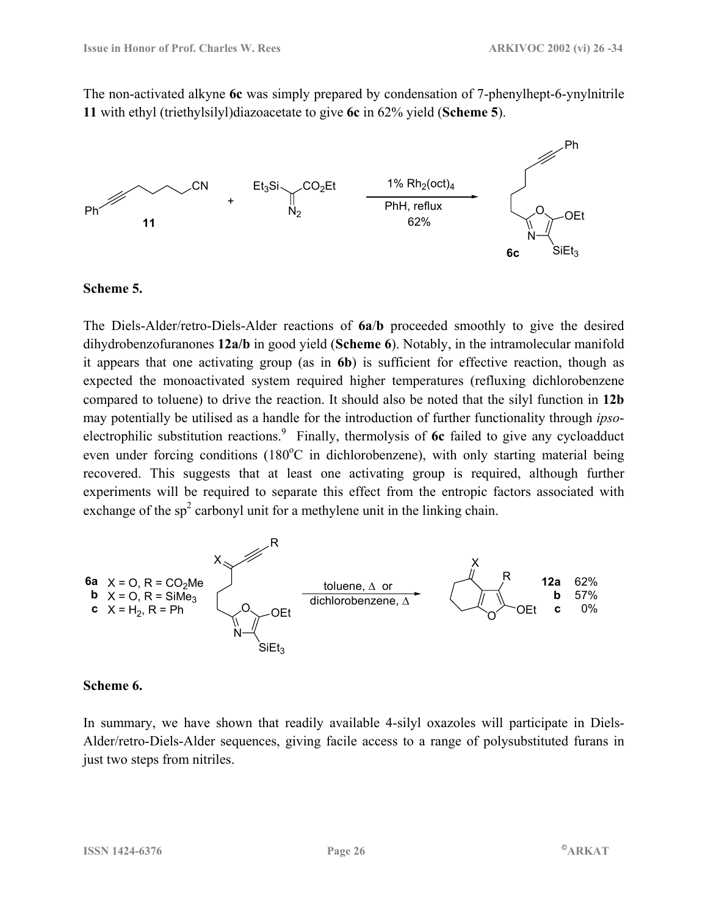The non-activated alkyne **6c** was simply prepared by condensation of 7-phenylhept-6-ynylnitrile **11** with ethyl (triethylsilyl)diazoacetate to give **6c** in 62% yield (**Scheme 5**).



#### **Scheme 5.**

The Diels-Alder/retro-Diels-Alder reactions of **6a**/**b** proceeded smoothly to give the desired dihydrobenzofuranones **12a/b** in good yield (**Scheme 6**). Notably, in the intramolecular manifold it appears that one activating group (as in **6b**) is sufficient for effective reaction, though as expected the monoactivated system required higher temperatures (refluxing dichlorobenzene compared to toluene) to drive the reaction. It should also be noted that the silyl function in **12b** may potentially be utilised as a handle for the introduction of further functionality through *ipso*electrophilic substitution reactions.<sup>9</sup> Finally, thermolysis of 6c failed to give any cycloadduct even under forcing conditions  $(180^{\circ}C)$  in dichlorobenzene), with only starting material being recovered. This suggests that at least one activating group is required, although further experiments will be required to separate this effect from the entropic factors associated with exchange of the  $sp<sup>2</sup>$  carbonyl unit for a methylene unit in the linking chain.



#### **Scheme 6.**

In summary, we have shown that readily available 4-silyl oxazoles will participate in Diels-Alder/retro-Diels-Alder sequences, giving facile access to a range of polysubstituted furans in just two steps from nitriles.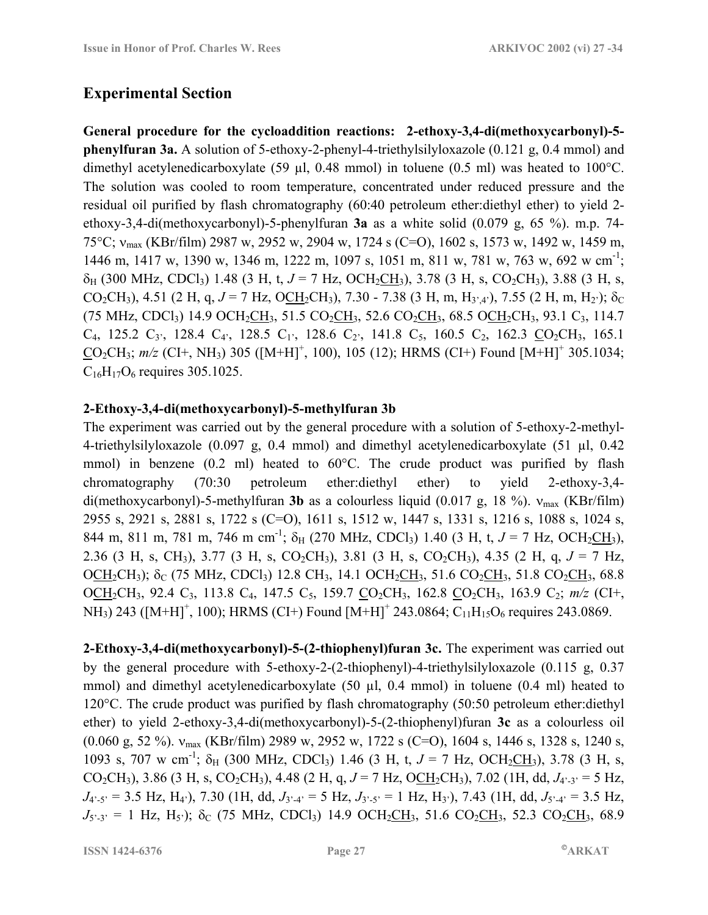## **Experimental Section**

**General procedure for the cycloaddition reactions: 2-ethoxy-3,4-di(methoxycarbonyl)-5 phenylfuran 3a.** A solution of 5-ethoxy-2-phenyl-4-triethylsilyloxazole (0.121 g, 0.4 mmol) and dimethyl acetylenedicarboxylate (59 µl, 0.48 mmol) in toluene (0.5 ml) was heated to 100°C. The solution was cooled to room temperature, concentrated under reduced pressure and the residual oil purified by flash chromatography (60:40 petroleum ether:diethyl ether) to yield 2 ethoxy-3,4-di(methoxycarbonyl)-5-phenylfuran **3a** as a white solid (0.079 g, 65 %). m.p. 74- 75°C; νmax (KBr/film) 2987 w, 2952 w, 2904 w, 1724 s (C=O), 1602 s, 1573 w, 1492 w, 1459 m, 1446 m, 1417 w, 1390 w, 1346 m, 1222 m, 1097 s, 1051 m, 811 w, 781 w, 763 w, 692 w cm-1; δH (300 MHz, CDCl3) 1.48 (3 H, t, *J* = 7 Hz, OCH2CH3), 3.78 (3 H, s, CO2CH3), 3.88 (3 H, s, CO<sub>2</sub>CH<sub>3</sub>), 4.51 (2 H, q,  $J = 7$  Hz, OCH<sub>2</sub>CH<sub>3</sub>), 7.30 - 7.38 (3 H, m, H<sub>3',4'</sub>), 7.55 (2 H, m, H<sub>2'</sub>); δ<sub>C</sub> (75 MHz, CDCl<sub>3</sub>) 14.9 OCH<sub>2</sub>CH<sub>3</sub>, 51.5 CO<sub>2</sub>CH<sub>3</sub>, 52.6 CO<sub>2</sub>CH<sub>3</sub>, 68.5 OCH<sub>2</sub>CH<sub>3</sub>, 93.1 C<sub>3</sub>, 114.7  $C_4$ , 125.2  $C_3$ <sup>2</sup>, 128.4  $C_4$ <sup>2</sup>, 128.5  $C_1$ <sup>2</sup>, 128.6  $C_2$ <sup>2</sup>, 141.8  $C_5$ , 160.5  $C_2$ , 162.3  $CO_2CH_3$ , 165.1  $CO_2CH_3$ ;  $m/z$  (CI+, NH<sub>3</sub>) 305 ([M+H]<sup>+</sup>, 100), 105 (12); HRMS (CI+) Found [M+H]<sup>+</sup> 305.1034;  $C_{16}H_{17}O_6$  requires 305.1025.

#### **2-Ethoxy-3,4-di(methoxycarbonyl)-5-methylfuran 3b**

The experiment was carried out by the general procedure with a solution of 5-ethoxy-2-methyl-4-triethylsilyloxazole (0.097 g, 0.4 mmol) and dimethyl acetylenedicarboxylate (51 µl, 0.42 mmol) in benzene (0.2 ml) heated to 60°C. The crude product was purified by flash chromatography (70:30 petroleum ether:diethyl ether) to yield 2-ethoxy-3,4 di(methoxycarbonyl)-5-methylfuran **3b** as a colourless liquid (0.017 g, 18 %). ν<sub>max</sub> (KBr/film) 2955 s, 2921 s, 2881 s, 1722 s (C=O), 1611 s, 1512 w, 1447 s, 1331 s, 1216 s, 1088 s, 1024 s, 844 m, 811 m, 781 m, 746 m cm<sup>-1</sup>;  $\delta_H$  (270 MHz, CDCl<sub>3</sub>) 1.40 (3 H, t,  $J = 7$  Hz, OCH<sub>2</sub>CH<sub>3</sub>), 2.36 (3 H, s, CH<sub>3</sub>), 3.77 (3 H, s, CO<sub>2</sub>CH<sub>3</sub>), 3.81 (3 H, s, CO<sub>2</sub>CH<sub>3</sub>), 4.35 (2 H, q,  $J = 7$  Hz, OCH<sub>2</sub>CH<sub>3</sub>);  $\delta_C$  (75 MHz, CDCl<sub>3</sub>) 12.8 CH<sub>3</sub>, 14.1 OCH<sub>2</sub>CH<sub>3</sub>, 51.6 CO<sub>2</sub>CH<sub>3</sub>, 51.8 CO<sub>2</sub>CH<sub>3</sub>, 68.8 OCH<sub>2</sub>CH<sub>3</sub>, 92.4 C<sub>3</sub>, 113.8 C<sub>4</sub>, 147.5 C<sub>5</sub>, 159.7 CO<sub>2</sub>CH<sub>3</sub>, 162.8 CO<sub>2</sub>CH<sub>3</sub>, 163.9 C<sub>2</sub>; *m/z* (CI+, NH<sub>3</sub>) 243 ([M+H]<sup>+</sup>, 100); HRMS (CI+) Found [M+H]<sup>+</sup> 243.0864; C<sub>11</sub>H<sub>15</sub>O<sub>6</sub> requires 243.0869.

**2-Ethoxy-3,4-di(methoxycarbonyl)-5-(2-thiophenyl)furan 3c.** The experiment was carried out by the general procedure with 5-ethoxy-2-(2-thiophenyl)-4-triethylsilyloxazole (0.115 g, 0.37 mmol) and dimethyl acetylenedicarboxylate (50 µl, 0.4 mmol) in toluene (0.4 ml) heated to 120°C. The crude product was purified by flash chromatography (50:50 petroleum ether:diethyl ether) to yield 2-ethoxy-3,4-di(methoxycarbonyl)-5-(2-thiophenyl)furan **3c** as a colourless oil (0.060 g, 52 %).  $v_{\text{max}}$  (KBr/film) 2989 w, 2952 w, 1722 s (C=O), 1604 s, 1446 s, 1328 s, 1240 s, 1093 s, 707 w cm<sup>-1</sup>;  $\delta_H$  (300 MHz, CDCl<sub>3</sub>) 1.46 (3 H, t,  $J = 7$  Hz, OCH<sub>2</sub>CH<sub>3</sub>), 3.78 (3 H, s, CO<sub>2</sub>CH<sub>3</sub>), 3.86 (3 H, s, CO<sub>2</sub>CH<sub>3</sub>), 4.48 (2 H, q, *J* = 7 Hz, OCH<sub>2</sub>CH<sub>3</sub>), 7.02 (1H, dd, *J*<sub>4'-3</sub><sup> $\cdot$ </sup> = 5 Hz,  $J_{4^2-5^2} = 3.5$  Hz,  $H_{4^2}$ ), 7.30 (1H, dd,  $J_{3^2-4^2} = 5$  Hz,  $J_{3^2-5^2} = 1$  Hz,  $H_{3^2}$ ), 7.43 (1H, dd,  $J_{5^2-4^2} = 3.5$  Hz,  $J_{5,3}$ <sup> $=$ </sup> 1 Hz, H<sub>5</sub><sup>3</sup>); δ<sub>C</sub> (75 MHz, CDCl<sub>3</sub>) 14.9 OCH<sub>2</sub>CH<sub>3</sub>, 51.6 CO<sub>2</sub>CH<sub>3</sub>, 52.3 CO<sub>2</sub>CH<sub>3</sub>, 68.9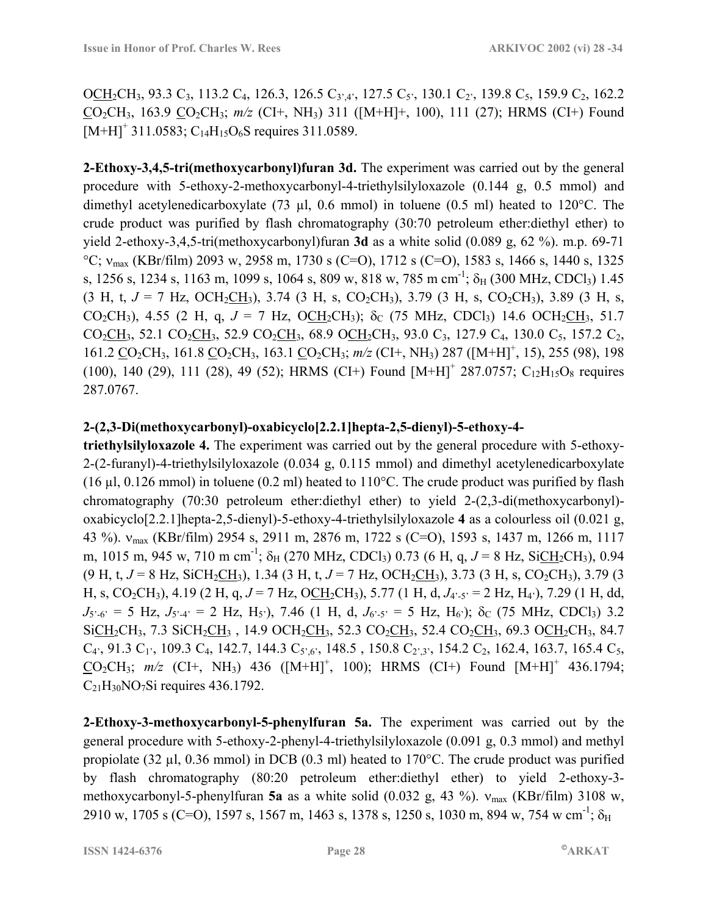OCH<sub>2</sub>CH<sub>3</sub>, 93.3 C<sub>3</sub>, 113.2 C<sub>4</sub>, 126.3, 126.5 C<sub>3',4'</sub>, 127.5 C<sub>5'</sub>, 130.1 C<sub>2</sub>', 139.8 C<sub>5</sub>, 159.9 C<sub>2</sub>, 162.2 CO2CH3, 163.9 CO2CH3; *m/z* (CI+, NH3) 311 ([M+H]+, 100), 111 (27); HRMS (CI+) Found  $[M+H]^+$  311.0583; C<sub>14</sub>H<sub>15</sub>O<sub>6</sub>S requires 311.0589.

**2-Ethoxy-3,4,5-tri(methoxycarbonyl)furan 3d.** The experiment was carried out by the general procedure with 5-ethoxy-2-methoxycarbonyl-4-triethylsilyloxazole (0.144 g, 0.5 mmol) and dimethyl acetylenedicarboxylate (73  $\mu$ l, 0.6 mmol) in toluene (0.5 ml) heated to 120°C. The crude product was purified by flash chromatography (30:70 petroleum ether:diethyl ether) to yield 2-ethoxy-3,4,5-tri(methoxycarbonyl)furan **3d** as a white solid (0.089 g, 62 %). m.p. 69-71 °C;  $v_{\text{max}}$  (KBr/film) 2093 w, 2958 m, 1730 s (C=O), 1712 s (C=O), 1583 s, 1466 s, 1440 s, 1325 s, 1256 s, 1234 s, 1163 m, 1099 s, 1064 s, 809 w, 818 w, 785 m cm<sup>-1</sup>; δ<sub>H</sub> (300 MHz, CDCl<sub>3</sub>) 1.45  $(3 \text{ H}, \text{ t}, J = 7 \text{ Hz}, \text{ OCH}_2\text{CH}_3)$ , 3.74 (3 H, s, CO<sub>2</sub>CH<sub>3</sub>), 3.79 (3 H, s, CO<sub>2</sub>CH<sub>3</sub>), 3.89 (3 H, s, CO<sub>2</sub>CH<sub>3</sub>), 4.55 (2 H, q,  $J = 7$  Hz, O<sub>CH<sub>2</sub>CH<sub>3</sub>); δ<sub>C</sub> (75 MHz, CDCl<sub>3</sub>) 14.6 OCH<sub>2</sub>CH<sub>3</sub>, 51.7</sub> CO<sub>2</sub>CH<sub>3</sub>, 52.1 CO<sub>2</sub>CH<sub>3</sub>, 52.9 CO<sub>2</sub>CH<sub>3</sub>, 68.9 OCH<sub>2</sub>CH<sub>3</sub>, 93.0 C<sub>3</sub>, 127.9 C<sub>4</sub>, 130.0 C<sub>5</sub>, 157.2 C<sub>2</sub>, 161.2 CO<sub>2</sub>CH<sub>3</sub>, 161.8 CO<sub>2</sub>CH<sub>3</sub>, 163.1 CO<sub>2</sub>CH<sub>3</sub>;  $m/z$  (CI+, NH<sub>3</sub>) 287 ([M+H]<sup>+</sup>, 15), 255 (98), 198  $(100)$ , 140  $(29)$ , 111  $(28)$ , 49  $(52)$ ; HRMS  $(CI+)$  Found  $[M+H]^+$  287.0757;  $C_{12}H_{15}O_8$  requires 287.0767.

### **2-(2,3-Di(methoxycarbonyl)-oxabicyclo[2.2.1]hepta-2,5-dienyl)-5-ethoxy-4-**

**triethylsilyloxazole 4.** The experiment was carried out by the general procedure with 5-ethoxy-2-(2-furanyl)-4-triethylsilyloxazole (0.034 g, 0.115 mmol) and dimethyl acetylenedicarboxylate (16  $\mu$ l, 0.126 mmol) in toluene (0.2 ml) heated to 110°C. The crude product was purified by flash chromatography (70:30 petroleum ether:diethyl ether) to yield 2-(2,3-di(methoxycarbonyl) oxabicyclo[2.2.1]hepta-2,5-dienyl)-5-ethoxy-4-triethylsilyloxazole **4** as a colourless oil (0.021 g, 43 %). νmax (KBr/film) 2954 s, 2911 m, 2876 m, 1722 s (C=O), 1593 s, 1437 m, 1266 m, 1117 m, 1015 m, 945 w, 710 m cm<sup>-1</sup>;  $\delta_H$  (270 MHz, CDCl<sub>3</sub>) 0.73 (6 H, q,  $J = 8$  Hz, SiCH<sub>2</sub>CH<sub>3</sub>), 0.94  $(9 \text{ H, t, } J = 8 \text{ Hz, SiCH}_2\text{CH}_3)$ , 1.34 (3 H, t,  $J = 7 \text{ Hz, OCH}_2\text{CH}_3$ ), 3.73 (3 H, s, CO<sub>2</sub>CH<sub>3</sub>), 3.79 (3 H, s, CO<sub>2</sub>CH<sub>3</sub>), 4.19 (2 H, q,  $J = 7$  Hz, OCH<sub>2</sub>CH<sub>3</sub>), 5.77 (1 H, d,  $J_{4.5'} = 2$  Hz, H<sub>4</sub><sup>2</sup>), 7.29 (1 H, dd,  $J_{5,6}$  = 5 Hz,  $J_{5,4}$ ; = 2 Hz, H<sub>5</sub><sup>i</sup>), 7.46 (1 H, d,  $J_{6,5}$ ; = 5 Hz, H<sub>6</sub><sup>j</sup>); δ<sub>C</sub> (75 MHz, CDCl<sub>3</sub>) 3.2 SiCH<sub>2</sub>CH<sub>3</sub>, 7.3 SiCH<sub>2</sub>CH<sub>3</sub>, 14.9 OCH<sub>2</sub>CH<sub>3</sub>, 52.3 CO<sub>2</sub>CH<sub>3</sub>, 52.4 CO<sub>2</sub>CH<sub>3</sub>, 69.3 OCH<sub>2</sub>CH<sub>3</sub>, 84.7  $C_4$ , 91.3  $C_1$ , 109.3  $C_4$ , 142.7, 144.3  $C_5$ , 6, 148.5, 150.8  $C_2$ , 3, 154.2  $C_2$ , 162.4, 163.7, 165.4  $C_5$ ,  $CO_2CH_3$ ;  $m/z$  (CI+, NH<sub>3</sub>) 436 ([M+H]<sup>+</sup>, 100); HRMS (CI+) Found [M+H]<sup>+</sup> 436.1794;  $C_{21}H_{30}NO<sub>7</sub>Si$  requires 436.1792.

**2-Ethoxy-3-methoxycarbonyl-5-phenylfuran 5a.** The experiment was carried out by the general procedure with 5-ethoxy-2-phenyl-4-triethylsilyloxazole (0.091 g, 0.3 mmol) and methyl propiolate (32 µl, 0.36 mmol) in DCB (0.3 ml) heated to 170°C. The crude product was purified by flash chromatography (80:20 petroleum ether:diethyl ether) to yield 2-ethoxy-3 methoxycarbonyl-5-phenylfuran **5a** as a white solid (0.032 g, 43 %). νmax (KBr/film) 3108 w, 2910 w, 1705 s (C=O), 1597 s, 1567 m, 1463 s, 1378 s, 1250 s, 1030 m, 894 w, 754 w cm<sup>-1</sup>;  $\delta_H$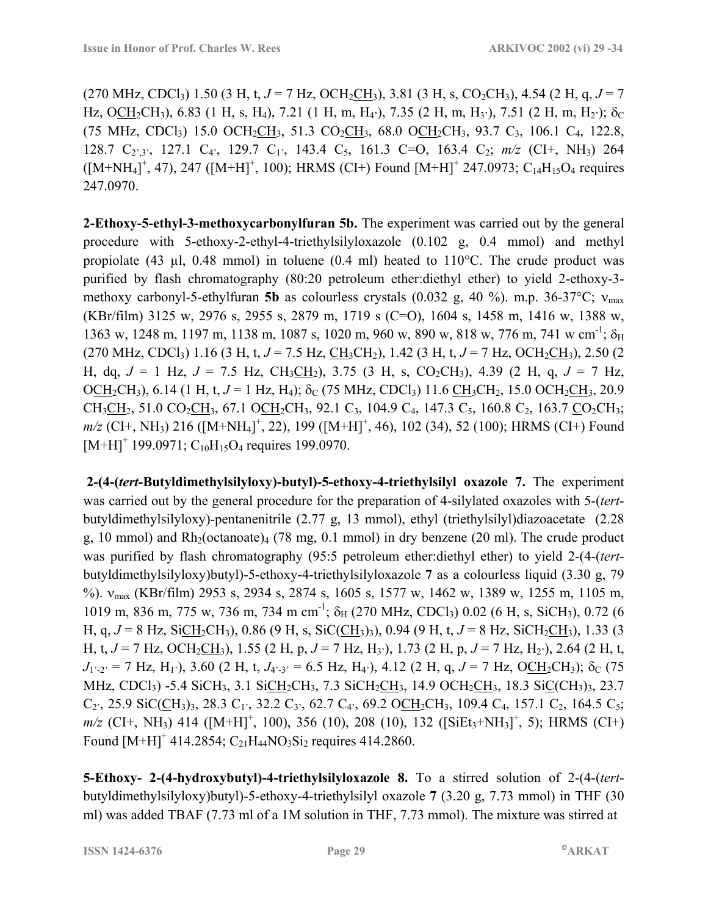$(270 \text{ MHz}, \text{CDCl}_3)$  1.50 (3 H, t,  $J = 7$  Hz, OCH<sub>2</sub>CH<sub>3</sub>), 3.81 (3 H, s, CO<sub>2</sub>CH<sub>3</sub>), 4.54 (2 H, q,  $J = 7$ Hz, OCH<sub>2</sub>CH<sub>3</sub>), 6.83 (1 H, s, H<sub>4</sub>), 7.21 (1 H, m, H<sub>4</sub><sup>)</sup>, 7.35 (2 H, m, H<sub>3</sub><sup>)</sup>), 7.51 (2 H, m, H<sub>2</sub><sup>)</sup>); δ<sub>C</sub> (75 MHz, CDCl<sub>3</sub>) 15.0 OCH<sub>2</sub>CH<sub>3</sub>, 51.3 CO<sub>2</sub>CH<sub>3</sub>, 68.0 OCH<sub>2</sub>CH<sub>3</sub>, 93.7 C<sub>3</sub>, 106.1 C<sub>4</sub>, 122.8, 128.7 C<sub>2',3'</sub>, 127.1 C<sub>4'</sub>, 129.7 C<sub>1'</sub>, 143.4 C<sub>5</sub>, 161.3 C=O, 163.4 C<sub>2</sub>;  $m/z$  (CI+, NH<sub>3</sub>) 264  $([M+NH_4]^+, 47)$ , 247  $([M+H]^+, 100)$ ; HRMS (CI+) Found  $[M+H]^+$  247.0973; C<sub>14</sub>H<sub>15</sub>O<sub>4</sub> requires 247.0970.

**2-Ethoxy-5-ethyl-3-methoxycarbonylfuran 5b.** The experiment was carried out by the general procedure with 5-ethoxy-2-ethyl-4-triethylsilyloxazole (0.102 g, 0.4 mmol) and methyl propiolate (43  $\mu$ l, 0.48 mmol) in toluene (0.4 ml) heated to 110°C. The crude product was purified by flash chromatography (80:20 petroleum ether:diethyl ether) to yield 2-ethoxy-3 methoxy carbonyl-5-ethylfuran **5b** as colourless crystals (0.032 g, 40 %). m.p. 36-37°C; ν<sub>max</sub> (KBr/film) 3125 w, 2976 s, 2955 s, 2879 m, 1719 s (C=O), 1604 s, 1458 m, 1416 w, 1388 w, 1363 w, 1248 m, 1197 m, 1138 m, 1087 s, 1020 m, 960 w, 890 w, 818 w, 776 m, 741 w cm<sup>-1</sup>;  $\delta_H$  $(270 \text{ MHz}, \text{CDCl}_3)$  1.16 (3 H, t,  $J = 7.5$  Hz,  $\text{CH}_3\text{CH}_2$ ), 1.42 (3 H, t,  $J = 7$  Hz,  $\text{OCH}_2\text{CH}_3$ ), 2.50 (2 H, dq,  $J = 1$  Hz,  $J = 7.5$  Hz,  $CH_3CH_2$ ), 3.75 (3 H, s,  $CO_2CH_3$ ), 4.39 (2 H, q,  $J = 7$  Hz, OCH<sub>2</sub>CH<sub>3</sub>), 6.14 (1 H, t,  $J = 1$  Hz, H<sub>4</sub>);  $\delta_C$  (75 MHz, CDCl<sub>3</sub>) 11.6 CH<sub>3</sub>CH<sub>2</sub>, 15.0 OCH<sub>2</sub>CH<sub>3</sub>, 20.9  $CH_3CH_2$ , 51.0 CO<sub>2</sub>CH<sub>3</sub>, 67.1 OCH<sub>2</sub>CH<sub>3</sub>, 92.1 C<sub>3</sub>, 104.9 C<sub>4</sub>, 147.3 C<sub>5</sub>, 160.8 C<sub>2</sub>, 163.7 CO<sub>2</sub>CH<sub>3</sub>; *m/z* (CI+, NH<sub>3</sub>) 216 ([M+NH<sub>4</sub>]<sup>+</sup>, 22), 199 ([M+H]<sup>+</sup>, 46), 102 (34), 52 (100); HRMS (CI+) Found  $[M+H]^+$  199.0971;  $C_{10}H_{15}O_4$  requires 199.0970.

 **2-(4-(***tert***-Butyldimethylsilyloxy)-butyl)-5-ethoxy-4-triethylsilyl oxazole 7.** The experiment was carried out by the general procedure for the preparation of 4-silylated oxazoles with 5-(*tert*butyldimethylsilyloxy)-pentanenitrile (2.77 g, 13 mmol), ethyl (triethylsilyl)diazoacetate (2.28 g, 10 mmol) and  $Rh_2(octanoate)_4$  (78 mg, 0.1 mmol) in dry benzene (20 ml). The crude product was purified by flash chromatography (95:5 petroleum ether:diethyl ether) to yield 2-(4-(*tert*butyldimethylsilyloxy)butyl)-5-ethoxy-4-triethylsilyloxazole **7** as a colourless liquid (3.30 g, 79 %). νmax (KBr/film) 2953 s, 2934 s, 2874 s, 1605 s, 1577 w, 1462 w, 1389 w, 1255 m, 1105 m, 1019 m, 836 m, 775 w, 736 m, 734 m cm<sup>-1</sup>;  $\delta_H$  (270 MHz, CDCl<sub>3</sub>) 0.02 (6 H, s, SiCH<sub>3</sub>), 0.72 (6 H, g,  $J = 8$  Hz, SiCH<sub>2</sub>CH<sub>3</sub>), 0.86 (9 H, s, SiC(CH<sub>3</sub>)<sub>3</sub>), 0.94 (9 H, t,  $J = 8$  Hz, SiCH<sub>2</sub>CH<sub>3</sub>), 1.33 (3 H, t,  $J = 7$  Hz, OCH<sub>2</sub>CH<sub>3</sub>), 1.55 (2 H, p,  $J = 7$  Hz, H<sub>3</sub><sup>3</sup>), 1.73 (2 H, p,  $J = 7$  Hz, H<sub>2</sub><sup>3</sup>), 2.64 (2 H, t,  $J_1$ <sup>1</sup>-2<sup>*i*</sup> = 7 Hz, H<sub>1</sub><sup>*i*</sup>), 3.60 (2 H, t,  $J_{4}$ <sup>2</sup>-3<sup>*i*</sup> = 6.5 Hz, H<sub>4</sub><sup>*i*</sup>), 4.12 (2 H, q,  $J = 7$  Hz, OCH<sub>2</sub>CH<sub>3</sub>); δ<sub>C</sub> (75 MHz, CDCl<sub>3</sub>) -5.4 SiCH<sub>3</sub>, 3.1 SiCH<sub>2</sub>CH<sub>3</sub>, 7.3 SiCH<sub>2</sub>CH<sub>3</sub>, 14.9 OCH<sub>2</sub>CH<sub>3</sub>, 18.3 SiC(CH<sub>3</sub>)<sub>3</sub>, 23.7  $C_2$ , 25.9 SiC(CH<sub>3</sub>)<sub>3</sub>, 28.3 C<sub>1</sub>, 32.2 C<sub>3</sub>, 62.7 C<sub>4</sub>, 69.2 OCH<sub>2</sub>CH<sub>3</sub>, 109.4 C<sub>4</sub>, 157.1 C<sub>2</sub>, 164.5 C<sub>5</sub>; *m/z* (CI+, NH<sub>3</sub>) 414 ([M+H]<sup>+</sup>, 100), 356 (10), 208 (10), 132 ([SiEt<sub>3</sub>+NH<sub>3</sub>]<sup>+</sup>, 5); HRMS (CI+) Found  $[M+H]^+$  414.2854;  $C_{21}H_{44}NO_3Si_2$  requires 414.2860.

**5-Ethoxy- 2-(4-hydroxybutyl)-4-triethylsilyloxazole 8.** To a stirred solution of 2-(4-(*tert*butyldimethylsilyloxy)butyl)-5-ethoxy-4-triethylsilyl oxazole **7** (3.20 g, 7.73 mmol) in THF (30 ml) was added TBAF (7.73 ml of a 1M solution in THF, 7.73 mmol). The mixture was stirred at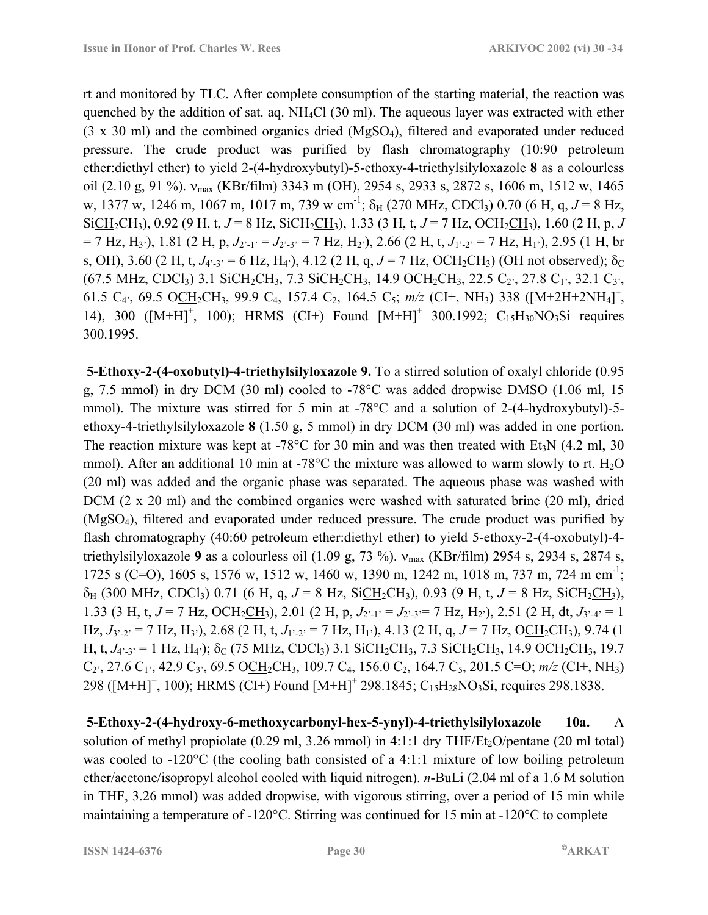rt and monitored by TLC. After complete consumption of the starting material, the reaction was quenched by the addition of sat. aq. NH4Cl (30 ml). The aqueous layer was extracted with ether (3 x 30 ml) and the combined organics dried (MgSO4), filtered and evaporated under reduced pressure. The crude product was purified by flash chromatography (10:90 petroleum ether:diethyl ether) to yield 2-(4-hydroxybutyl)-5-ethoxy-4-triethylsilyloxazole **8** as a colourless oil (2.10 g, 91 %).  $v_{\text{max}}$  (KBr/film) 3343 m (OH), 2954 s, 2933 s, 2872 s, 1606 m, 1512 w, 1465 w, 1377 w, 1246 m, 1067 m, 1017 m, 739 w cm<sup>-1</sup>;  $\delta_H$  (270 MHz, CDCl<sub>3</sub>) 0.70 (6 H, q, J = 8 Hz,  $SiCH_2CH_3$ ), 0.92 (9 H, t, *J* = 8 Hz, SiCH<sub>2</sub>CH<sub>3</sub>), 1.33 (3 H, t, *J* = 7 Hz, OCH<sub>2</sub>CH<sub>3</sub>), 1.60 (2 H, p, *J*  $= 7$  Hz, H<sub>3</sub><sup>2</sup>), 1.81 (2 H, p,  $J_{2^2-1^2} = J_{2^2-3^2} = 7$  Hz, H<sub>2</sub><sup>2</sup>), 2.66 (2 H, t,  $J_{1^2-2^2} = 7$  Hz, H<sub>1</sub><sup>2</sup>), 2.95 (1 H, br s, OH), 3.60 (2 H, t,  $J_{4'3'} = 6$  Hz,  $H_{4'}$ ), 4.12 (2 H, q,  $J = 7$  Hz, OCH<sub>2</sub>CH<sub>3</sub>) (OH not observed);  $\delta_C$  $(67.5 \text{ MHz}, \text{CDCl}_3)$  3.1 Si $\text{CH}_2\text{CH}_3$ , 7.3 SiCH<sub>2</sub>CH<sub>3</sub>, 14.9 OCH<sub>2</sub>CH<sub>3</sub>, 22.5 C<sub>2</sub><sup>,</sup>, 27.8 C<sub>1</sub><sup>,</sup>, 32.1 C<sub>3</sub><sup>*,*</sup>, 61.5 C<sub>4</sub><sup>2</sup>, 69.5 O<u>CH</u><sub>2</sub>CH<sub>3</sub>, 99.9 C<sub>4</sub>, 157.4 C<sub>2</sub>, 164.5 C<sub>5</sub>;  $m/z$  (CI+, NH<sub>3</sub>) 338 ([M+2H+2NH<sub>4</sub>]<sup>+</sup>, 14), 300 ( $[M+H]^+$ , 100); HRMS (CI+) Found  $[M+H]^+$  300.1992; C<sub>15</sub>H<sub>30</sub>NO<sub>3</sub>Si requires 300.1995.

 **5-Ethoxy-2-(4-oxobutyl)-4-triethylsilyloxazole 9.** To a stirred solution of oxalyl chloride (0.95 g, 7.5 mmol) in dry DCM (30 ml) cooled to -78°C was added dropwise DMSO (1.06 ml, 15 mmol). The mixture was stirred for 5 min at -78°C and a solution of 2-(4-hydroxybutyl)-5 ethoxy-4-triethylsilyloxazole **8** (1.50 g, 5 mmol) in dry DCM (30 ml) was added in one portion. The reaction mixture was kept at -78 $^{\circ}$ C for 30 min and was then treated with Et<sub>3</sub>N (4.2 ml, 30) mmol). After an additional 10 min at -78 $^{\circ}$ C the mixture was allowed to warm slowly to rt. H<sub>2</sub>O (20 ml) was added and the organic phase was separated. The aqueous phase was washed with DCM (2 x 20 ml) and the combined organics were washed with saturated brine (20 ml), dried (MgSO4), filtered and evaporated under reduced pressure. The crude product was purified by flash chromatography (40:60 petroleum ether:diethyl ether) to yield 5-ethoxy-2-(4-oxobutyl)-4 triethylsilyloxazole **9** as a colourless oil (1.09 g, 73 %). νmax (KBr/film) 2954 s, 2934 s, 2874 s, 1725 s (C=O), 1605 s, 1576 w, 1512 w, 1460 w, 1390 m, 1242 m, 1018 m, 737 m, 724 m cm<sup>-1</sup>;  $\delta_H$  (300 MHz, CDCl<sub>3</sub>) 0.71 (6 H, q,  $J = 8$  Hz, SiCH<sub>2</sub>CH<sub>3</sub>), 0.93 (9 H, t,  $J = 8$  Hz, SiCH<sub>2</sub>CH<sub>3</sub>), 1.33 (3 H, t,  $J = 7$  Hz, OCH<sub>2</sub>CH<sub>3</sub>), 2.01 (2 H, p,  $J_{2^2-1^2} = J_{2^2-3^2} = 7$  Hz, H<sub>2</sub><sup>2</sup>), 2.51 (2 H, dt,  $J_{3^2-4^2} = 1$ Hz,  $J_3$ <sup>-</sup><sub>2</sub><sup> $\cdot$ </sup> = 7 Hz, H<sub>3</sub><sup> $\cdot$ </sup>), 2.68 (2 H, t,  $J_1$ <sup>-</sup><sub>-2</sub> $\cdot$  = 7 Hz, H<sub>1</sub><sup> $\cdot$ </sup>), 4.13 (2 H, q,  $J$  = 7 Hz, OCH<sub>2</sub>CH<sub>3</sub>), 9.74 (1 H, t,  $J_4:3' = 1$  Hz, H<sub>4</sub>);  $\delta_C$  (75 MHz, CDCl<sub>3</sub>) 3.1 SiCH<sub>2</sub>CH<sub>3</sub>, 7.3 SiCH<sub>2</sub>CH<sub>3</sub>, 14.9 OCH<sub>2</sub>CH<sub>3</sub>, 19.7  $C_2$ <sup>2</sup>, 27.6  $C_1$ <sup>2</sup>, 42.9  $C_3$ <sup>2</sup>, 69.5 OCH<sub>2</sub>CH<sub>3</sub>, 109.7 C<sub>4</sub>, 156.0 C<sub>2</sub>, 164.7 C<sub>5</sub>, 201.5 C=O; *m/z* (CI+, NH<sub>3</sub>) 298 ( $[M+H]^+$ , 100); HRMS (CI+) Found  $[M+H]^+$  298.1845; C<sub>15</sub>H<sub>28</sub>NO<sub>3</sub>Si, requires 298.1838.

 **5-Ethoxy-2-(4-hydroxy-6-methoxycarbonyl-hex-5-ynyl)-4-triethylsilyloxazole 10a.** A solution of methyl propiolate (0.29 ml, 3.26 mmol) in 4:1:1 dry THF/Et<sub>2</sub>O/pentane (20 ml total) was cooled to -120°C (the cooling bath consisted of a 4:1:1 mixture of low boiling petroleum ether/acetone/isopropyl alcohol cooled with liquid nitrogen). *n*-BuLi (2.04 ml of a 1.6 M solution in THF, 3.26 mmol) was added dropwise, with vigorous stirring, over a period of 15 min while maintaining a temperature of -120°C. Stirring was continued for 15 min at -120°C to complete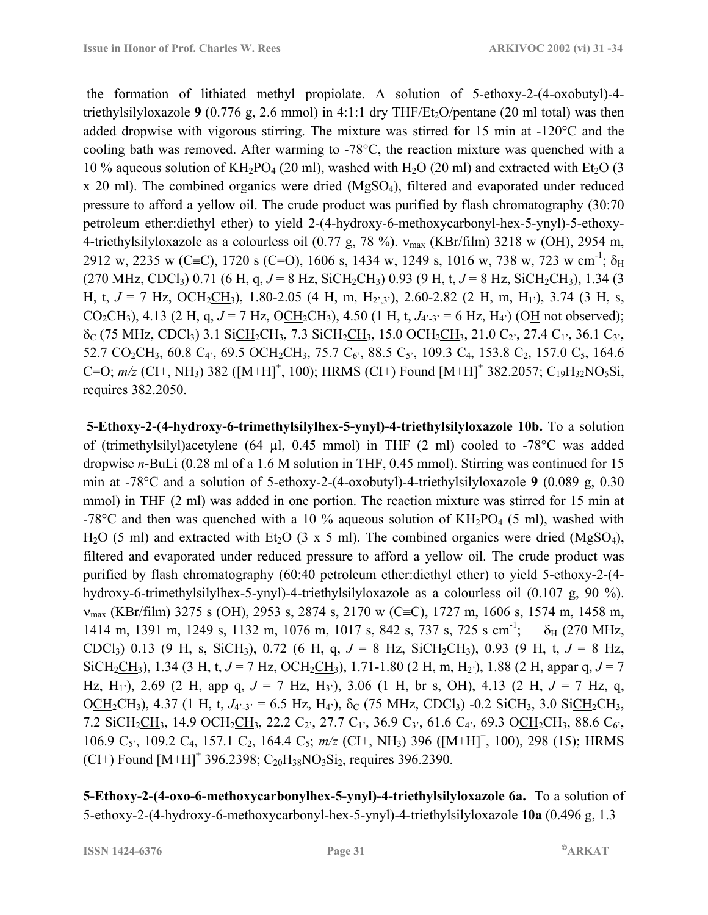the formation of lithiated methyl propiolate. A solution of 5-ethoxy-2-(4-oxobutyl)-4 triethylsilyloxazole **9** (0.776 g, 2.6 mmol) in 4:1:1 dry THF/Et<sub>2</sub>O/pentane (20 ml total) was then added dropwise with vigorous stirring. The mixture was stirred for 15 min at -120°C and the cooling bath was removed. After warming to  $-78^{\circ}$ C, the reaction mixture was quenched with a 10 % aqueous solution of KH<sub>2</sub>PO<sub>4</sub> (20 ml), washed with H<sub>2</sub>O (20 ml) and extracted with Et<sub>2</sub>O (3 x 20 ml). The combined organics were dried (MgSO4), filtered and evaporated under reduced pressure to afford a yellow oil. The crude product was purified by flash chromatography (30:70 petroleum ether:diethyl ether) to yield 2-(4-hydroxy-6-methoxycarbonyl-hex-5-ynyl)-5-ethoxy-4-triethylsilyloxazole as a colourless oil (0.77 g, 78 %).  $v_{\text{max}}$  (KBr/film) 3218 w (OH), 2954 m, 2912 w, 2235 w (C≡C), 1720 s (C=O), 1606 s, 1434 w, 1249 s, 1016 w, 738 w, 723 w cm<sup>-1</sup>;  $\delta_H$  $(270 \text{ MHz}, \text{CDCl}_3)$  0.71 (6 H, q,  $J = 8$  Hz, SiCH<sub>2</sub>CH<sub>3</sub>) 0.93 (9 H, t,  $J = 8$  Hz, SiCH<sub>2</sub>CH<sub>3</sub>), 1.34 (3 H, t,  $J = 7$  Hz, OCH<sub>2</sub>CH<sub>3</sub>), 1.80-2.05 (4 H, m, H<sub>2',3'</sub>), 2.60-2.82 (2 H, m, H<sub>1</sub>), 3.74 (3 H, s, CO<sub>2</sub>CH<sub>3</sub>), 4.13 (2 H, q,  $J = 7$  Hz, O<u>CH</u><sub>2</sub>CH<sub>3</sub>), 4.50 (1 H, t,  $J_{4'-3'} = 6$  Hz, H<sub>4</sub><sup>*'*</sup>) (O<u>H</u> not observed);  $\delta_C$  (75 MHz, CDCl<sub>3</sub>) 3.1 SiCH<sub>2</sub>CH<sub>3</sub>, 7.3 SiCH<sub>2</sub>CH<sub>3</sub>, 15.0 OCH<sub>2</sub>CH<sub>3</sub>, 21.0 C<sub>2</sub><sup>,</sup>, 27.4 C<sub>1</sub><sup>,</sup>, 36.1 C<sub>3</sub><sup>*,*</sup>, 52.7 CO<sub>2</sub>CH<sub>3</sub>, 60.8 C<sub>4</sub><sup>2</sup>, 69.5 OCH<sub>2</sub>CH<sub>3</sub>, 75.7 C<sub>6</sub><sup>2</sup>, 88.5 C<sub>5</sub><sup>2</sup>, 109.3 C<sub>4</sub>, 153.8 C<sub>2</sub>, 157.0 C<sub>5</sub>, 164.6 C=O;  $m/z$  (CI+, NH<sub>3</sub>) 382 ([M+H]<sup>+</sup>, 100); HRMS (CI+) Found [M+H]<sup>+</sup> 382.2057; C<sub>19</sub>H<sub>32</sub>NO<sub>5</sub>Si, requires 382.2050.

 **5-Ethoxy-2-(4-hydroxy-6-trimethylsilylhex-5-ynyl)-4-triethylsilyloxazole 10b.** To a solution of (trimethylsilyl)acetylene (64 µl, 0.45 mmol) in THF (2 ml) cooled to -78°C was added dropwise *n*-BuLi (0.28 ml of a 1.6 M solution in THF, 0.45 mmol). Stirring was continued for 15 min at -78°C and a solution of 5-ethoxy-2-(4-oxobutyl)-4-triethylsilyloxazole **9** (0.089 g, 0.30 mmol) in THF (2 ml) was added in one portion. The reaction mixture was stirred for 15 min at -78 $\degree$ C and then was quenched with a 10 % aqueous solution of  $KH_2PO_4$  (5 ml), washed with H<sub>2</sub>O (5 ml) and extracted with Et<sub>2</sub>O (3 x 5 ml). The combined organics were dried (MgSO<sub>4</sub>), filtered and evaporated under reduced pressure to afford a yellow oil. The crude product was purified by flash chromatography (60:40 petroleum ether:diethyl ether) to yield 5-ethoxy-2-(4 hydroxy-6-trimethylsilylhex-5-ynyl)-4-triethylsilyloxazole as a colourless oil (0.107 g, 90 %). νmax (KBr/film) 3275 s (OH), 2953 s, 2874 s, 2170 w (C≡C), 1727 m, 1606 s, 1574 m, 1458 m, 1414 m, 1391 m, 1249 s, 1132 m, 1076 m, 1017 s, 842 s, 737 s, 725 s cm<sup>-1</sup>;  $\delta_H$  (270 MHz, CDCl<sub>3</sub>) 0.13 (9 H, s, SiCH<sub>3</sub>), 0.72 (6 H, q,  $J = 8$  Hz, SiCH<sub>2</sub>CH<sub>3</sub>), 0.93 (9 H, t,  $J = 8$  Hz, SiCH<sub>2</sub>CH<sub>3</sub>), 1.34 (3 H, t,  $J = 7$  Hz, OCH<sub>2</sub>CH<sub>3</sub>), 1.71-1.80 (2 H, m, H<sub>2</sub><sup>)</sup>), 1.88 (2 H, appar q,  $J = 7$ Hz, H<sub>1</sub><sup>)</sup>, 2.69 (2 H, app q,  $J = 7$  Hz, H<sub>3</sub><sup>)</sup>), 3.06 (1 H, br s, OH), 4.13 (2 H,  $J = 7$  Hz, q, OCH<sub>2</sub>CH<sub>3</sub>), 4.37 (1 H, t,  $J_{4^2-3^2} = 6.5$  Hz, H<sub>4</sub><sup>2</sup>),  $\delta_C$  (75 MHz, CDCl<sub>3</sub>) -0.2 SiCH<sub>3</sub>, 3.0 SiCH<sub>2</sub>CH<sub>3</sub>, 7.2 SiCH<sub>2</sub>CH<sub>3</sub>, 14.9 OCH<sub>2</sub>CH<sub>3</sub>, 22.2 C<sub>2</sub><sup>2</sup>, 27.7 C<sub>1</sub><sup>2</sup>, 36.9 C<sub>3</sub><sup>2</sup>, 61.6 C<sub>4</sub><sup>2</sup>, 69.3 OCH<sub>2</sub>CH<sub>3</sub>, 88.6 C<sub>6</sub><sup>2</sup>, 106.9 C<sub>5</sub><sup>,</sup>, 109.2 C<sub>4</sub>, 157.1 C<sub>2</sub>, 164.4 C<sub>5</sub>;  $m/z$  (CI+, NH<sub>3</sub>) 396 ([M+H]<sup>+</sup>, 100), 298 (15); HRMS  $(CI+)$  Found  $[M+H]^+$  396.2398;  $C_{20}H_{38}NO_3Si_2$ , requires 396.2390.

**5-Ethoxy-2-(4-oxo-6-methoxycarbonylhex-5-ynyl)-4-triethylsilyloxazole 6a.** To a solution of 5-ethoxy-2-(4-hydroxy-6-methoxycarbonyl-hex-5-ynyl)-4-triethylsilyloxazole **10a** (0.496 g, 1.3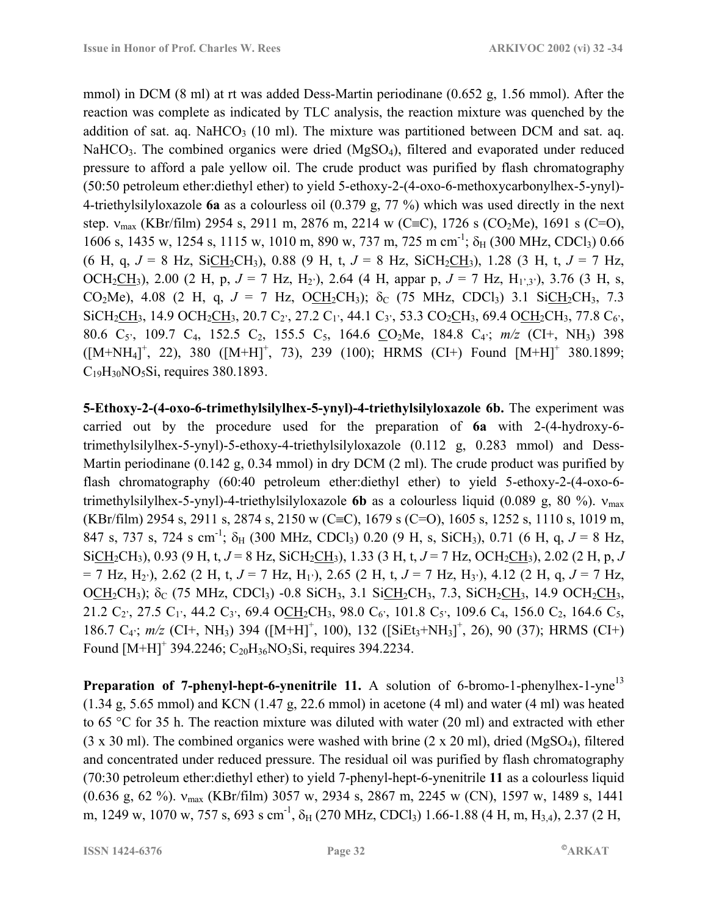mmol) in DCM (8 ml) at rt was added Dess-Martin periodinane (0.652 g, 1.56 mmol). After the reaction was complete as indicated by TLC analysis, the reaction mixture was quenched by the addition of sat. aq. NaHCO<sub>3</sub> (10 ml). The mixture was partitioned between DCM and sat. aq. NaHCO<sub>3</sub>. The combined organics were dried  $(MgSO<sub>4</sub>)$ , filtered and evaporated under reduced pressure to afford a pale yellow oil. The crude product was purified by flash chromatography (50:50 petroleum ether:diethyl ether) to yield 5-ethoxy-2-(4-oxo-6-methoxycarbonylhex-5-ynyl)- 4-triethylsilyloxazole **6a** as a colourless oil (0.379 g, 77 %) which was used directly in the next step.  $v_{\text{max}}$  (KBr/film) 2954 s, 2911 m, 2876 m, 2214 w (C≡C), 1726 s (CO<sub>2</sub>Me), 1691 s (C=O), 1606 s, 1435 w, 1254 s, 1115 w, 1010 m, 890 w, 737 m, 725 m cm<sup>-1</sup>;  $\delta_H$  (300 MHz, CDCl<sub>3</sub>) 0.66 (6 H, q,  $J = 8$  Hz, SiCH<sub>2</sub>CH<sub>3</sub>), 0.88 (9 H, t,  $J = 8$  Hz, SiCH<sub>2</sub>CH<sub>3</sub>), 1.28 (3 H, t,  $J = 7$  Hz, OCH<sub>2</sub>CH<sub>3</sub>), 2.00 (2 H, p,  $J = 7$  Hz, H<sub>2</sub><sup>,</sup>), 2.64 (4 H, appar p,  $J = 7$  Hz, H<sub>1</sub><sup>,</sup><sub>3</sub><sup>,</sup>), 3.76 (3 H, s, CO<sub>2</sub>Me), 4.08 (2 H, q,  $J = 7$  Hz, OCH<sub>2</sub>CH<sub>3</sub>);  $\delta_C$  (75 MHz, CDCl<sub>3</sub>) 3.1 SiCH<sub>2</sub>CH<sub>3</sub>, 7.3  $SiCH_2CH_3$ , 14.9 OCH<sub>2</sub>CH<sub>3</sub>, 20.7 C<sub>2</sub><sup>2</sup>, 27.2 C<sub>1</sub><sup>2</sup>, 44.1 C<sub>3</sub><sup>2</sup>, 53.3 CO<sub>2</sub>CH<sub>3</sub>, 69.4 OCH<sub>2</sub>CH<sub>3</sub>, 77.8 C<sub>6</sub><sup>2</sup>, 80.6 C5í, 109.7 C4, 152.5 C2, 155.5 C5, 164.6 CO2Me, 184.8 C4í; *m/z* (CI+, NH3) 398  $([M+NH<sub>4</sub>]<sup>+</sup>, 22), 380 ([M+H]<sup>+</sup>, 73), 239 (100); HRMS (CI+) Found [M+H]<sup>+</sup> 380.1899;$  $C_{19}H_{30}NO_5Si$ , requires 380.1893.

**5-Ethoxy-2-(4-oxo-6-trimethylsilylhex-5-ynyl)-4-triethylsilyloxazole 6b.** The experiment was carried out by the procedure used for the preparation of **6a** with 2-(4-hydroxy-6 trimethylsilylhex-5-ynyl)-5-ethoxy-4-triethylsilyloxazole (0.112 g, 0.283 mmol) and Dess-Martin periodinane (0.142 g, 0.34 mmol) in dry DCM (2 ml). The crude product was purified by flash chromatography (60:40 petroleum ether:diethyl ether) to yield 5-ethoxy-2-(4-oxo-6 trimethylsilylhex-5-ynyl)-4-triethylsilyloxazole **6b** as a colourless liquid (0.089 g, 80 %). νmax (KBr/film) 2954 s, 2911 s, 2874 s, 2150 w (C≡C), 1679 s (C=O), 1605 s, 1252 s, 1110 s, 1019 m, 847 s, 737 s, 724 s cm<sup>-1</sup>;  $\delta_H$  (300 MHz, CDCl<sub>3</sub>) 0.20 (9 H, s, SiCH<sub>3</sub>), 0.71 (6 H, q,  $J = 8$  Hz,  $SiCH_2CH_3$ ), 0.93 (9 H, t, *J* = 8 Hz,  $SiCH_2CH_3$ ), 1.33 (3 H, t, *J* = 7 Hz, OCH<sub>2</sub>CH<sub>3</sub>), 2.02 (2 H, p, *J*  $= 7$  Hz, H<sub>2</sub><sup>)</sup>, 2.62 (2 H, t,  $J = 7$  Hz, H<sub>1</sub><sup>)</sup>, 2.65 (2 H, t,  $J = 7$  Hz, H<sub>3</sub><sup>'</sup>), 4.12 (2 H, q,  $J = 7$  Hz, OCH<sub>2</sub>CH<sub>3</sub>);  $\delta_c$  (75 MHz, CDCl<sub>3</sub>) -0.8 SiCH<sub>3</sub>, 3.1 SiCH<sub>2</sub>CH<sub>3</sub>, 7.3, SiCH<sub>2</sub>CH<sub>3</sub>, 14.9 OCH<sub>2</sub>CH<sub>3</sub>, 21.2  $C_2$ , 27.5  $C_1$ , 44.2  $C_3$ , 69.4 OCH<sub>2</sub>CH<sub>3</sub>, 98.0  $C_6$ , 101.8  $C_5$ , 109.6  $C_4$ , 156.0  $C_2$ , 164.6  $C_5$ , 186.7 C<sub>4</sub>;  $m/z$  (CI+, NH<sub>3</sub>) 394 ([M+H]<sup>+</sup>, 100), 132 ([SiEt<sub>3</sub>+NH<sub>3</sub>]<sup>+</sup>, 26), 90 (37); HRMS (CI+) Found  $[M+H]^+$  394.2246;  $C_{20}H_{36}NO_3Si$ , requires 394.2234.

**Preparation of 7-phenyl-hept-6-ynenitrile 11.** A solution of 6-bromo-1-phenylhex-1-yne<sup>13</sup>  $(1.34 \text{ g}, 5.65 \text{ mmol})$  and KCN  $(1.47 \text{ g}, 22.6 \text{ mmol})$  in acetone  $(4 \text{ ml})$  and water  $(4 \text{ ml})$  was heated to 65 °C for 35 h. The reaction mixture was diluted with water (20 ml) and extracted with ether  $(3 \times 30 \text{ ml})$ . The combined organics were washed with brine  $(2 \times 20 \text{ ml})$ , dried  $(MgSO<sub>4</sub>)$ , filtered and concentrated under reduced pressure. The residual oil was purified by flash chromatography (70:30 petroleum ether:diethyl ether) to yield 7-phenyl-hept-6-ynenitrile **11** as a colourless liquid (0.636 g, 62 %). νmax (KBr/film) 3057 w, 2934 s, 2867 m, 2245 w (CN), 1597 w, 1489 s, 1441 m, 1249 w, 1070 w, 757 s, 693 s cm<sup>-1</sup>,  $\delta_H$  (270 MHz, CDCl<sub>3</sub>) 1.66-1.88 (4 H, m, H<sub>3,4</sub>), 2.37 (2 H,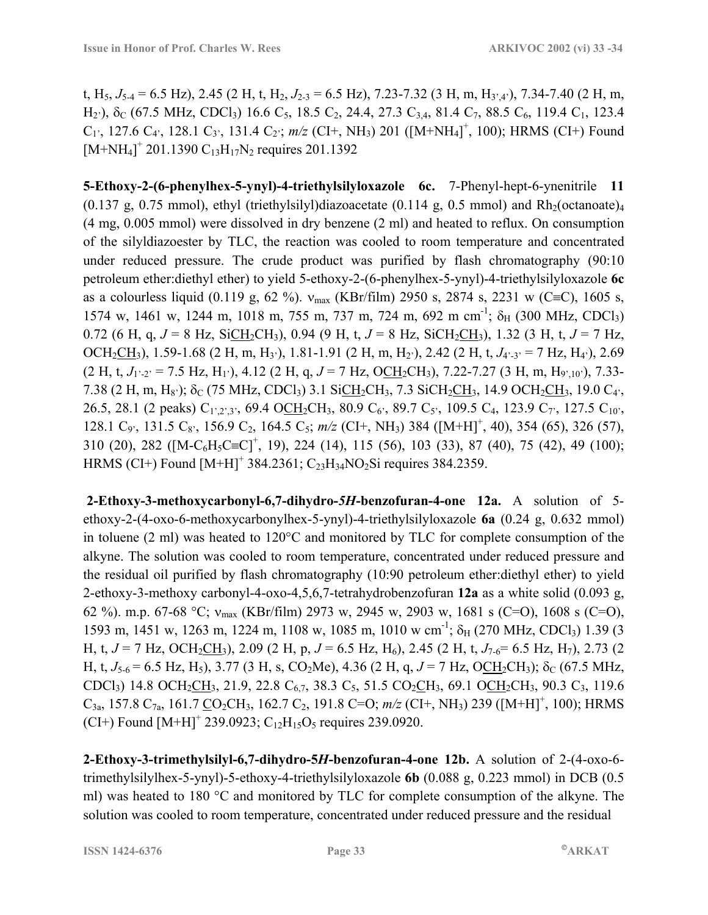t, H<sub>5</sub>,  $J_{5-4}$  = 6.5 Hz), 2.45 (2 H, t, H<sub>2</sub>,  $J_{2-3}$  = 6.5 Hz), 7.23-7.32 (3 H, m, H<sub>3',4'</sub>), 7.34-7.40 (2 H, m, H<sub>2</sub><sup>)</sup>,  $\delta$ <sub>C</sub> (67.5 MHz, CDCl<sub>3</sub>) 16.6 C<sub>5</sub>, 18.5 C<sub>2</sub>, 24.4, 27.3 C<sub>3,4</sub>, 81.4 C<sub>7</sub>, 88.5 C<sub>6</sub>, 119.4 C<sub>1</sub>, 123.4  $C_1$ <sup>2</sup>, 127.6  $C_4$ <sup>2</sup>, 128.1  $C_3$ <sup>2</sup>, 131.4  $C_2$ <sup>2</sup>; *m/z* (CI+, NH<sub>3</sub>) 201 ([M+NH<sub>4</sub>]<sup>+</sup>, 100); HRMS (CI+) Found  $[M+NH_4]^+$  201.1390  $C_{13}H_{17}N_2$  requires 201.1392

**5-Ethoxy-2-(6-phenylhex-5-ynyl)-4-triethylsilyloxazole 6c.** 7-Phenyl-hept-6-ynenitrile **11**  $(0.137 \text{ g}, 0.75 \text{ mmol})$ , ethyl (triethylsilyl)diazoacetate  $(0.114 \text{ g}, 0.5 \text{ mmol})$  and Rh<sub>2</sub>(octanoate)<sub>4</sub> (4 mg, 0.005 mmol) were dissolved in dry benzene (2 ml) and heated to reflux. On consumption of the silyldiazoester by TLC, the reaction was cooled to room temperature and concentrated under reduced pressure. The crude product was purified by flash chromatography (90:10 petroleum ether:diethyl ether) to yield 5-ethoxy-2-(6-phenylhex-5-ynyl)-4-triethylsilyloxazole **6c** as a colourless liquid (0.119 g, 62 %).  $v_{\text{max}}$  (KBr/film) 2950 s, 2874 s, 2231 w (C≡C), 1605 s, 1574 w, 1461 w, 1244 m, 1018 m, 755 m, 737 m, 724 m, 692 m cm<sup>-1</sup>; δ<sub>H</sub> (300 MHz, CDCl<sub>3</sub>) 0.72 (6 H, q,  $J = 8$  Hz, SiCH<sub>2</sub>CH<sub>3</sub>), 0.94 (9 H, t,  $J = 8$  Hz, SiCH<sub>2</sub>CH<sub>3</sub>), 1.32 (3 H, t,  $J = 7$  Hz, OCH<sub>2</sub>CH<sub>3</sub>), 1.59-1.68 (2 H, m, H<sub>3</sub><sup>*'*</sup>), 1.81-1.91 (2 H, m, H<sub>2</sub><sup>*'*</sup>), 2.42 (2 H, t, *J<sub>4</sub>*·<sub>3</sub><sup>*'*</sup> = 7 Hz, H<sub>4</sub><sup>*'*</sup>), 2.69  $(2 \text{ H, t, } J_{1\cdot2'} = 7.5 \text{ Hz, H}_{1'}), 4.12 (2 \text{ H, q}, J = 7 \text{ Hz, OCH}_{2}\text{CH}_{3}), 7.22-7.27 (3 \text{ H, m, H}_{9',10'}), 7.33-$ 7.38 (2 H, m, H<sub>8</sub>);  $\delta_C$  (75 MHz, CDCl<sub>3</sub>) 3.1 SiCH<sub>2</sub>CH<sub>3</sub>, 7.3 SiCH<sub>2</sub>CH<sub>3</sub>, 14.9 OCH<sub>2</sub>CH<sub>3</sub>, 19.0 C<sub>4</sub><sup>2</sup>, 26.5, 28.1 (2 peaks)  $C_{1,2,3}$ , 69.4 OCH<sub>2</sub>CH<sub>3</sub>, 80.9 C<sub>6</sub><sup>2</sup>, 89.7 C<sub>5</sub><sup>2</sup>, 109.5 C<sub>4</sub>, 123.9 C<sub>7</sub><sup>2</sup>, 127.5 C<sub>10</sub><sup>2</sup>, 128.1 C<sub>9</sub><sup>,</sup>, 131.5 C<sub>8</sub><sup>,</sup>, 156.9 C<sub>2</sub>, 164.5 C<sub>5</sub>;  $m/z$  (CI+, NH<sub>3</sub>) 384 ([M+H]<sup>+</sup>, 40), 354 (65), 326 (57), 310 (20), 282 ([M-C<sub>6</sub>H<sub>5</sub>C≡C]<sup>+</sup>, 19), 224 (14), 115 (56), 103 (33), 87 (40), 75 (42), 49 (100); HRMS (CI+) Found  $[M+H]^+$  384.2361; C<sub>23</sub>H<sub>34</sub>NO<sub>2</sub>Si requires 384.2359.

 **2-Ethoxy-3-methoxycarbonyl-6,7-dihydro-***5H***-benzofuran-4-one 12a.** A solution of 5 ethoxy-2-(4-oxo-6-methoxycarbonylhex-5-ynyl)-4-triethylsilyloxazole **6a** (0.24 g, 0.632 mmol) in toluene (2 ml) was heated to 120°C and monitored by TLC for complete consumption of the alkyne. The solution was cooled to room temperature, concentrated under reduced pressure and the residual oil purified by flash chromatography (10:90 petroleum ether:diethyl ether) to yield 2-ethoxy-3-methoxy carbonyl-4-oxo-4,5,6,7-tetrahydrobenzofuran **12a** as a white solid (0.093 g, 62 %). m.p. 67-68 °C;  $v_{\text{max}}$  (KBr/film) 2973 w, 2945 w, 2903 w, 1681 s (C=O), 1608 s (C=O), 1593 m, 1451 w, 1263 m, 1224 m, 1108 w, 1085 m, 1010 w cm<sup>-1</sup>;  $\delta_H$  (270 MHz, CDCl<sub>3</sub>) 1.39 (3) H, t,  $J = 7$  Hz, OCH<sub>2</sub>CH<sub>3</sub>), 2.09 (2 H, p,  $J = 6.5$  Hz, H<sub>6</sub>), 2.45 (2 H, t,  $J_{7.6} = 6.5$  Hz, H<sub>7</sub>), 2.73 (2 H, t,  $J_{5-6}$  = 6.5 Hz, H<sub>5</sub>), 3.77 (3 H, s, CO<sub>2</sub>Me), 4.36 (2 H, q,  $J = 7$  Hz, OCH<sub>2</sub>CH<sub>3</sub>);  $\delta_C$  (67.5 MHz, CDCl<sub>3</sub>) 14.8 OCH<sub>2</sub>CH<sub>3</sub>, 21.9, 22.8 C<sub>6.7</sub>, 38.3 C<sub>5</sub>, 51.5 CO<sub>2</sub>CH<sub>3</sub>, 69.1 OCH<sub>2</sub>CH<sub>3</sub>, 90.3 C<sub>3</sub>, 119.6 C<sub>3a</sub>, 157.8 C<sub>7a</sub>, 161.7 <u>C</u>O<sub>2</sub>CH<sub>3</sub>, 162.7 C<sub>2</sub>, 191.8 C=O;  $m/z$  (CI+, NH<sub>3</sub>) 239 ([M+H]<sup>+</sup>, 100); HRMS  $(CI+)$  Found  $[M+H]^+$  239.0923;  $C_{12}H_{15}O_5$  requires 239.0920.

**2-Ethoxy-3-trimethylsilyl-6,7-dihydro-5***H***-benzofuran-4-one 12b.** A solution of 2-(4-oxo-6 trimethylsilylhex-5-ynyl)-5-ethoxy-4-triethylsilyloxazole **6b** (0.088 g, 0.223 mmol) in DCB (0.5 ml) was heated to 180 °C and monitored by TLC for complete consumption of the alkyne. The solution was cooled to room temperature, concentrated under reduced pressure and the residual